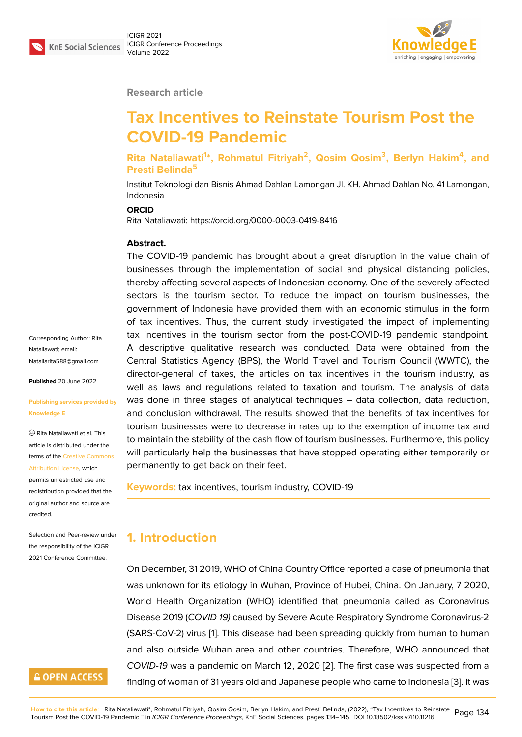

#### **Research article**

# **Tax Incentives to Reinstate Tourism Post the COVID-19 Pandemic**

#### **Rita Nataliawati<sup>1</sup> \*, Rohmatul Fitriyah<sup>2</sup> , Qosim Qosim<sup>3</sup> , Berlyn Hakim<sup>4</sup> , and Presti Belinda<sup>5</sup>**

Institut Teknologi dan Bisnis Ahmad Dahlan Lamongan Jl. KH. Ahmad Dahlan No. 41 Lamongan, Indonesia

#### **ORCID**

Rita Nataliawati: https://orcid.org/0000-0003-0419-8416

#### **Abstract.**

The COVID-19 pandemic has brought about a great disruption in the value chain of businesses through the implementation of social and physical distancing policies, thereby affecting several aspects of Indonesian economy. One of the severely affected sectors is the tourism sector. To reduce the impact on tourism businesses, the government of Indonesia have provided them with an economic stimulus in the form of tax incentives. Thus, the current study investigated the impact of implementing tax incentives in the tourism sector from the post-COVID-19 pandemic standpoint*.* A descriptive qualitative research was conducted. Data were obtained from the Central Statistics Agency (BPS), the World Travel and Tourism Council (WWTC), the director-general of taxes, the articles on tax incentives in the tourism industry, as well as laws and regulations related to taxation and tourism. The analysis of data was done in three stages of analytical techniques – data collection, data reduction, and conclusion withdrawal. The results showed that the benefits of tax incentives for tourism businesses were to decrease in rates up to the exemption of income tax and to maintain the stability of the cash flow of tourism businesses. Furthermore, this policy will particularly help the businesses that have stopped operating either temporarily or permanently to get back on their feet.

**Keywords:** tax incentives, tourism industry, COVID-19

### **1. Introduction**

On December, 31 2019, WHO of China Country Office reported a case of pneumonia that was unknown for its etiology in Wuhan, Province of Hubei, China. On January, 7 2020, World Health Organization (WHO) identified that pneumonia called as Coronavirus Disease 2019 (*COVID 19)* caused by Severe Acute Respiratory Syndrome Coronavirus-2 (SARS-CoV-2) virus [1]. This disease had been spreading quickly from human to human and also outside Wuhan area and other countries. Therefore, WHO announced that *COVID-19* was a pandemic on March 12, 2020 [2]. The first case was suspected from a finding of woman of [3](#page-9-0)1 years old and Japanese people who came to Indonesia [3]. It was

Corresponding Author: Rita Nataliawati; email: Nataliarita588@gmail.com

**Published** 20 June 2022

#### **[Publishing services provid](mailto:Nataliarita588@gmail.com)ed by Knowledge E**

Rita Nataliawati et al. This article is distributed under the terms of the Creative Commons Attribution License, which

permits unrestricted use and redistribution provided that the original auth[or and source are](https://creativecommons.org/licenses/by/4.0/) [credited.](https://creativecommons.org/licenses/by/4.0/)

Selection and Peer-review under the responsibility of the ICIGR 2021 Conference Committee.

## **GOPEN ACCESS**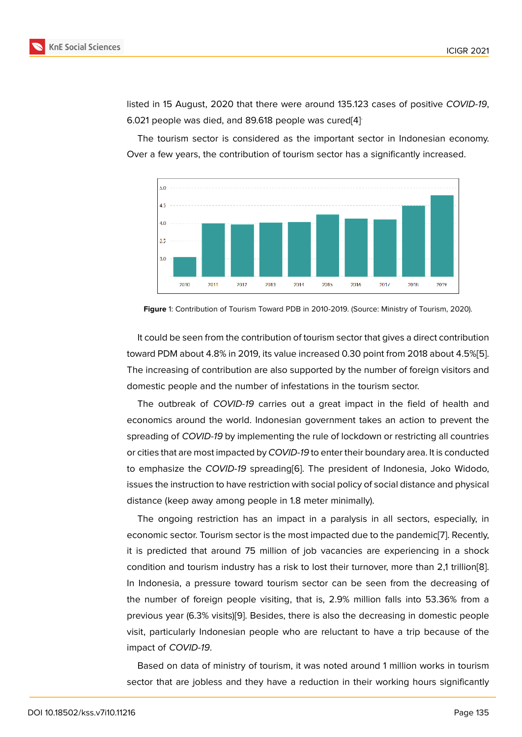listed in 15 August, 2020 that there were around 135.123 cases of positive *COVID-19*, 6.021 people was died, and 89.618 people was cured[4] .

The tourism sector is considered as the important sector in Indonesian economy. Over a few years, the contribution of tourism sector has a significantly increased.



**Figure** 1: Contribution of Tourism Toward PDB in 2010-2019. (Source: Ministry of Tourism, 2020).

It could be seen from the contribution of tourism sector that gives a direct contribution toward PDM about 4.8% in 2019, its value increased 0.30 point from 2018 about 4.5%[5]. The increasing of contribution are also supported by the number of foreign visitors and domestic people and the number of infestations in the tourism sector.

The outbreak of *COVID-19* carries out a great impact in the field of health a[nd](#page-10-0) economics around the world. Indonesian government takes an action to prevent the spreading of *COVID-19* by implementing the rule of lockdown or restricting all countries or cities that are most impacted by *COVID-19* to enter their boundary area. It is conducted to emphasize the *COVID-19* spreading[6]. The president of Indonesia, Joko Widodo, issues the instruction to have restriction with social policy of social distance and physical distance (keep away among people in 1.8 meter minimally).

The ongoing restriction has an imp[ac](#page-10-1)t in a paralysis in all sectors, especially, in economic sector. Tourism sector is the most impacted due to the pandemic[7]. Recently, it is predicted that around 75 million of job vacancies are experiencing in a shock condition and tourism industry has a risk to lost their turnover, more than 2,1 trillion[8]. In Indonesia, a pressure toward tourism sector can be seen from the d[ec](#page-10-2)reasing of the number of foreign people visiting, that is, 2.9% million falls into 53.36% from a previous year (6.3% visits)[9]. Besides, there is also the decreasing in domestic peo[ple](#page-10-3) visit, particularly Indonesian people who are reluctant to have a trip because of the impact of *COVID-19*.

Based on data of minis[try](#page-10-4) of tourism, it was noted around 1 million works in tourism sector that are jobless and they have a reduction in their working hours significantly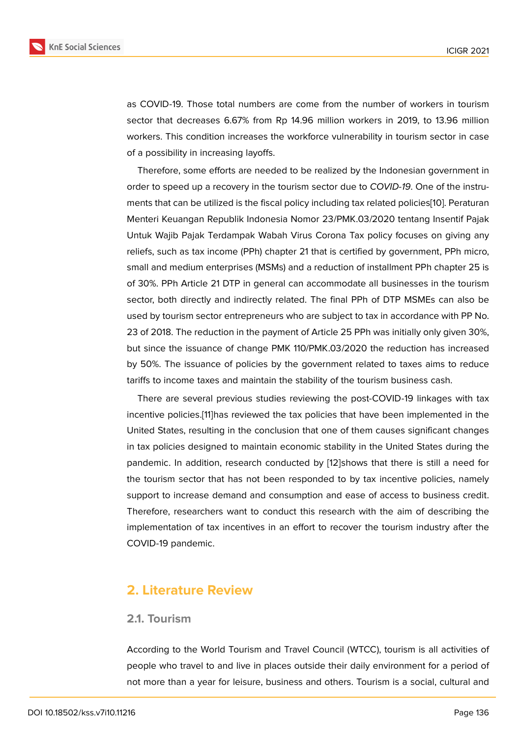as COVID-19. Those total numbers are come from the number of workers in tourism sector that decreases 6.67% from Rp 14.96 million workers in 2019, to 13.96 million workers. This condition increases the workforce vulnerability in tourism sector in case of a possibility in increasing layoffs.

Therefore, some efforts are needed to be realized by the Indonesian government in order to speed up a recovery in the tourism sector due to *COVID-19*. One of the instruments that can be utilized is the fiscal policy including tax related policies[10]. Peraturan Menteri Keuangan Republik Indonesia Nomor 23/PMK.03/2020 tentang Insentif Pajak Untuk Wajib Pajak Terdampak Wabah Virus Corona Tax policy focuses on giving any reliefs, such as tax income (PPh) chapter 21 that is certified by governme[nt,](#page-10-5) PPh micro, small and medium enterprises (MSMs) and a reduction of installment PPh chapter 25 is of 30%. PPh Article 21 DTP in general can accommodate all businesses in the tourism sector, both directly and indirectly related. The final PPh of DTP MSMEs can also be used by tourism sector entrepreneurs who are subject to tax in accordance with PP No. 23 of 2018. The reduction in the payment of Article 25 PPh was initially only given 30%, but since the issuance of change PMK 110/PMK.03/2020 the reduction has increased by 50%. The issuance of policies by the government related to taxes aims to reduce tariffs to income taxes and maintain the stability of the tourism business cash.

There are several previous studies reviewing the post-COVID-19 linkages with tax incentive policies.[11]has reviewed the tax policies that have been implemented in the United States, resulting in the conclusion that one of them causes significant changes in tax policies designed to maintain economic stability in the United States during the pandemic. In addi[tio](#page-10-6)n, research conducted by [12]shows that there is still a need for the tourism sector that has not been responded to by tax incentive policies, namely support to increase demand and consumption and ease of access to business credit. Therefore, researchers want to conduct this re[sea](#page-10-7)rch with the aim of describing the implementation of tax incentives in an effort to recover the tourism industry after the COVID-19 pandemic.

### **2. Literature Review**

### **2.1. Tourism**

According to the World Tourism and Travel Council (WTCC), tourism is all activities of people who travel to and live in places outside their daily environment for a period of not more than a year for leisure, business and others. Tourism is a social, cultural and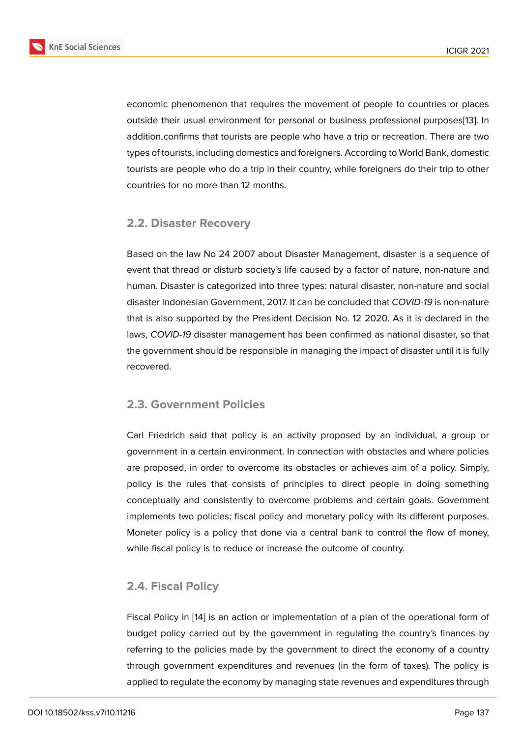economic phenomenon that requires the movement of people to countries or places outside their usual environment for personal or business professional purposes[13]. In addition,confirms that tourists are people who have a trip or recreation. There are two types of tourists, including domestics and foreigners. According to World Bank, domestic tourists are people who do a trip in their country, while foreigners do their trip to [ot](#page-10-8)her countries for no more than 12 months.

### **2.2. Disaster Recovery**

Based on the law No 24 2007 about Disaster Management, disaster is a sequence of event that thread or disturb society's life caused by a factor of nature, non-nature and human. Disaster is categorized into three types: natural disaster, non-nature and social disaster Indonesian Government, 2017. It can be concluded that *COVID-19* is non-nature that is also supported by the President Decision No. 12 2020. As it is declared in the laws, *COVID-19* disaster management has been confirmed as national disaster, so that the government should be responsible in managing the impact of disaster until it is fully recovered.

### **2.3. Government Policies**

Carl Friedrich said that policy is an activity proposed by an individual, a group or government in a certain environment. In connection with obstacles and where policies are proposed, in order to overcome its obstacles or achieves aim of a policy. Simply, policy is the rules that consists of principles to direct people in doing something conceptually and consistently to overcome problems and certain goals. Government implements two policies; fiscal policy and monetary policy with its different purposes. Moneter policy is a policy that done via a central bank to control the flow of money, while fiscal policy is to reduce or increase the outcome of country.

### **2.4. Fiscal Policy**

Fiscal Policy in [14] is an action or implementation of a plan of the operational form of budget policy carried out by the government in regulating the country's finances by referring to the policies made by the government to direct the economy of a country through govern[me](#page-10-9)nt expenditures and revenues (in the form of taxes). The policy is applied to regulate the economy by managing state revenues and expenditures through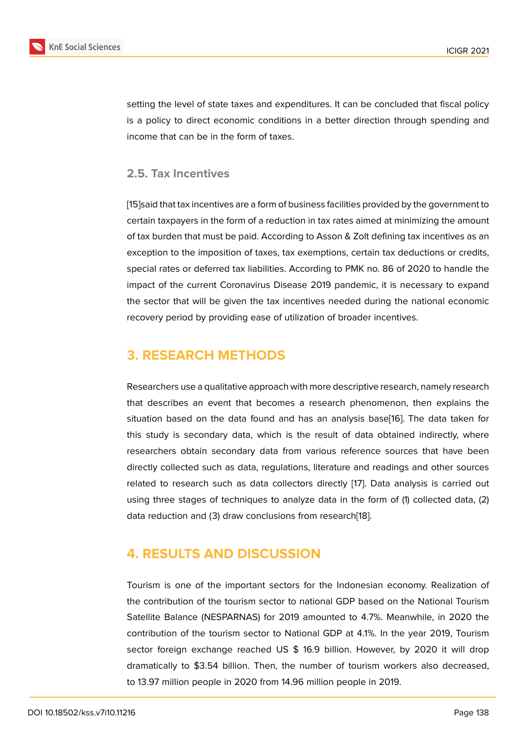setting the level of state taxes and expenditures. It can be concluded that fiscal policy is a policy to direct economic conditions in a better direction through spending and income that can be in the form of taxes.

#### **2.5. Tax Incentives**

[15]said that tax incentives are a form of business facilities provided by the government to certain taxpayers in the form of a reduction in tax rates aimed at minimizing the amount of tax burden that must be paid. According to Asson & Zolt defining tax incentives as an [exc](#page-10-10)eption to the imposition of taxes, tax exemptions, certain tax deductions or credits, special rates or deferred tax liabilities. According to PMK no. 86 of 2020 to handle the impact of the current Coronavirus Disease 2019 pandemic, it is necessary to expand the sector that will be given the tax incentives needed during the national economic recovery period by providing ease of utilization of broader incentives.

# **3. RESEARCH METHODS**

Researchers use a qualitative approach with more descriptive research, namely research that describes an event that becomes a research phenomenon, then explains the situation based on the data found and has an analysis base[16]. The data taken for this study is secondary data, which is the result of data obtained indirectly, where researchers obtain secondary data from various reference sources that have been directly collected such as data, regulations, literature and read[ing](#page-10-11)s and other sources related to research such as data collectors directly [17]. Data analysis is carried out using three stages of techniques to analyze data in the form of (1) collected data, (2) data reduction and (3) draw conclusions from research[18].

# **4. RESULTS AND DISCUSSION**

Tourism is one of the important sectors for the Indonesian economy. Realization of the contribution of the tourism sector to national GDP based on the National Tourism Satellite Balance (NESPARNAS) for 2019 amounted to 4.7%. Meanwhile, in 2020 the contribution of the tourism sector to National GDP at 4.1%. In the year 2019, Tourism sector foreign exchange reached US \$ 16.9 billion. However, by 2020 it will drop dramatically to \$3.54 billion. Then, the number of tourism workers also decreased, to 13.97 million people in 2020 from 14.96 million people in 2019.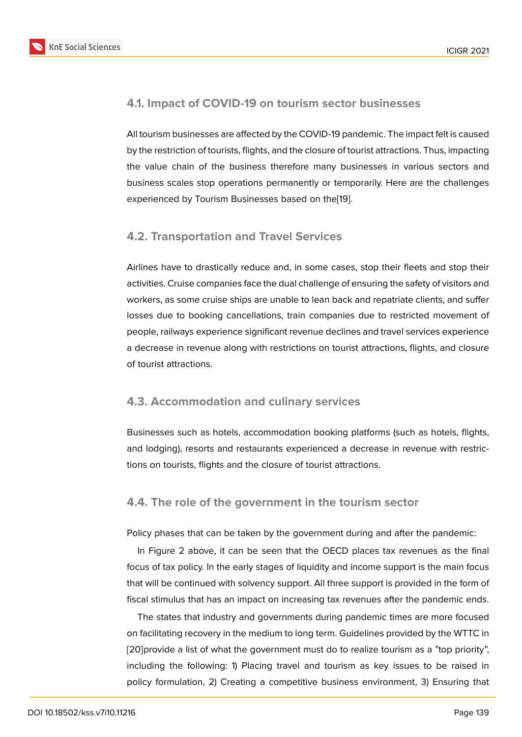### **4.1. Impact of COVID-19 on tourism sector businesses**

All tourism businesses are affected by the COVID-19 pandemic. The impact felt is caused by the restriction of tourists, flights, and the closure of tourist attractions. Thus, impacting the value chain of the business therefore many businesses in various sectors and business scales stop operations permanently or temporarily. Here are the challenges experienced by Tourism Businesses based on the[19].

### **4.2. Transportation and Travel Service[s](#page-10-12)**

Airlines have to drastically reduce and, in some cases, stop their fleets and stop their activities. Cruise companies face the dual challenge of ensuring the safety of visitors and workers, as some cruise ships are unable to lean back and repatriate clients, and suffer losses due to booking cancellations, train companies due to restricted movement of people, railways experience significant revenue declines and travel services experience a decrease in revenue along with restrictions on tourist attractions, flights, and closure of tourist attractions.

### **4.3. Accommodation and culinary services**

Businesses such as hotels, accommodation booking platforms (such as hotels, flights, and lodging), resorts and restaurants experienced a decrease in revenue with restrictions on tourists, flights and the closure of tourist attractions.

### **4.4. The role of the government in the tourism sector**

Policy phases that can be taken by the government during and after the pandemic:

In Figure 2 above, it can be seen that the OECD places tax revenues as the final focus of tax policy. In the early stages of liquidity and income support is the main focus that will be continued with solvency support. All three support is provided in the form of fiscal stimul[us](#page-6-0) that has an impact on increasing tax revenues after the pandemic ends.

The states that industry and governments during pandemic times are more focused on facilitating recovery in the medium to long term. Guidelines provided by the WTTC in [20]provide a list of what the government must do to realize tourism as a "top priority", including the following: 1) Placing travel and tourism as key issues to be raised in policy formulation, 2) Creating a competitive business environment, 3) Ensuring that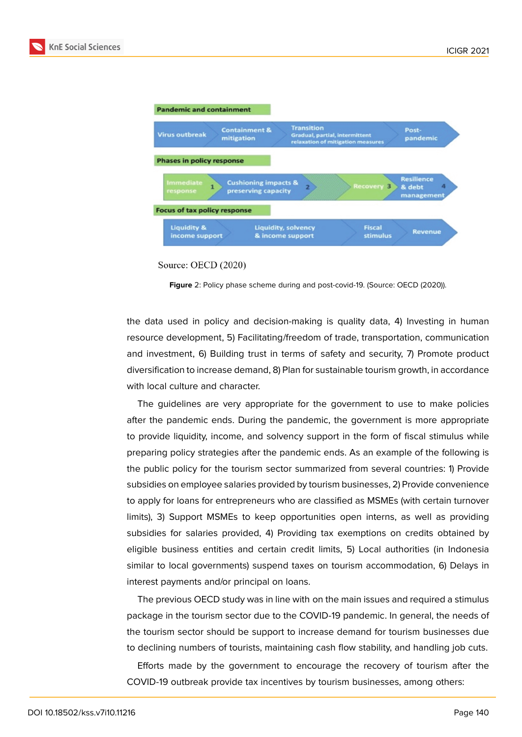



Source: OECD (2020)

<span id="page-6-0"></span>**Figure** 2: Policy phase scheme during and post-covid-19. (Source: OECD (2020)).

the data used in policy and decision-making is quality data, 4) Investing in human resource development, 5) Facilitating/freedom of trade, transportation, communication and investment, 6) Building trust in terms of safety and security, 7) Promote product diversification to increase demand, 8) Plan for sustainable tourism growth, in accordance with local culture and character.

The guidelines are very appropriate for the government to use to make policies after the pandemic ends. During the pandemic, the government is more appropriate to provide liquidity, income, and solvency support in the form of fiscal stimulus while preparing policy strategies after the pandemic ends. As an example of the following is the public policy for the tourism sector summarized from several countries: 1) Provide subsidies on employee salaries provided by tourism businesses, 2) Provide convenience to apply for loans for entrepreneurs who are classified as MSMEs (with certain turnover limits), 3) Support MSMEs to keep opportunities open interns, as well as providing subsidies for salaries provided, 4) Providing tax exemptions on credits obtained by eligible business entities and certain credit limits, 5) Local authorities (in Indonesia similar to local governments) suspend taxes on tourism accommodation, 6) Delays in interest payments and/or principal on loans.

The previous OECD study was in line with on the main issues and required a stimulus package in the tourism sector due to the COVID-19 pandemic. In general, the needs of the tourism sector should be support to increase demand for tourism businesses due to declining numbers of tourists, maintaining cash flow stability, and handling job cuts.

Efforts made by the government to encourage the recovery of tourism after the COVID-19 outbreak provide tax incentives by tourism businesses, among others: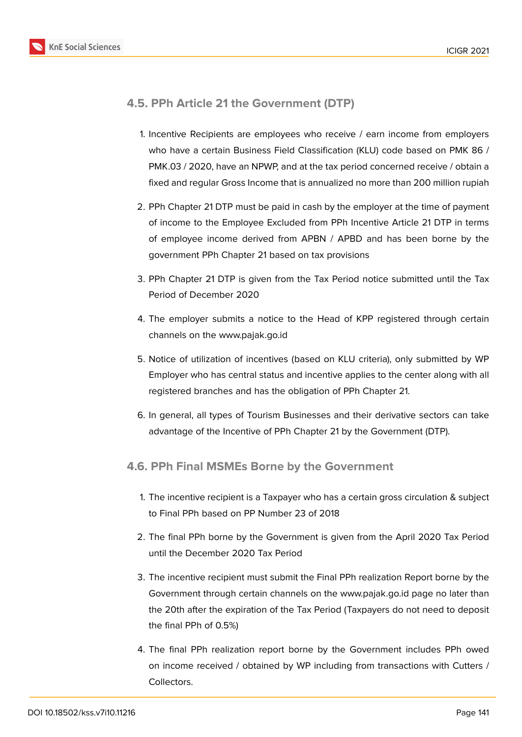

### **4.5. PPh Article 21 the Government (DTP)**

- 1. Incentive Recipients are employees who receive / earn income from employers who have a certain Business Field Classification (KLU) code based on PMK 86 / PMK.03 / 2020, have an NPWP, and at the tax period concerned receive / obtain a fixed and regular Gross Income that is annualized no more than 200 million rupiah
- 2. PPh Chapter 21 DTP must be paid in cash by the employer at the time of payment of income to the Employee Excluded from PPh Incentive Article 21 DTP in terms of employee income derived from APBN / APBD and has been borne by the government PPh Chapter 21 based on tax provisions
- 3. PPh Chapter 21 DTP is given from the Tax Period notice submitted until the Tax Period of December 2020
- 4. The employer submits a notice to the Head of KPP registered through certain channels on the www.pajak.go.id
- 5. Notice of utilization of incentives (based on KLU criteria), only submitted by WP Employer who has central status and incentive applies to the center along with all registered branches and has the obligation of PPh Chapter 21.
- 6. In general, all types of Tourism Businesses and their derivative sectors can take advantage of the Incentive of PPh Chapter 21 by the Government (DTP).

### **4.6. PPh Final MSMEs Borne by the Government**

- 1. The incentive recipient is a Taxpayer who has a certain gross circulation & subject to Final PPh based on PP Number 23 of 2018
- 2. The final PPh borne by the Government is given from the April 2020 Tax Period until the December 2020 Tax Period
- 3. The incentive recipient must submit the Final PPh realization Report borne by the Government through certain channels on the www.pajak.go.id page no later than the 20th after the expiration of the Tax Period (Taxpayers do not need to deposit the final PPh of 0.5%)
- 4. The final PPh realization report borne by the Government includes PPh owed on income received / obtained by WP including from transactions with Cutters / Collectors.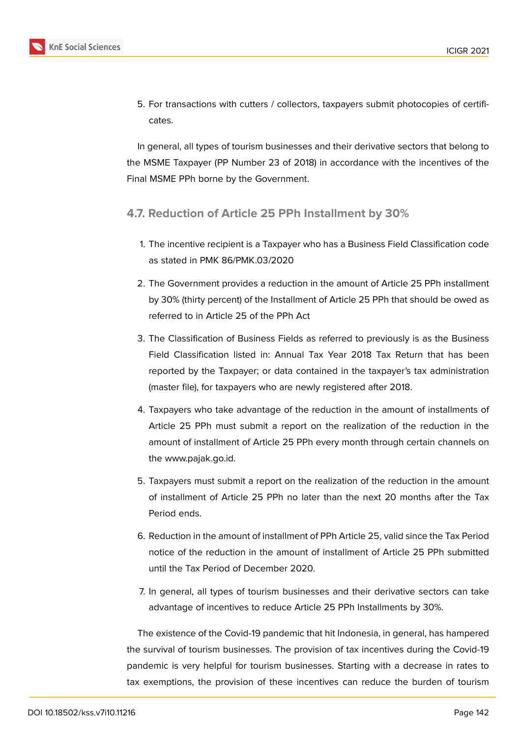5. For transactions with cutters / collectors, taxpayers submit photocopies of certificates.

In general, all types of tourism businesses and their derivative sectors that belong to the MSME Taxpayer (PP Number 23 of 2018) in accordance with the incentives of the Final MSME PPh borne by the Government.

### **4.7. Reduction of Article 25 PPh Installment by 30%**

- 1. The incentive recipient is a Taxpayer who has a Business Field Classification code as stated in PMK 86/PMK.03/2020
- 2. The Government provides a reduction in the amount of Article 25 PPh installment by 30% (thirty percent) of the Installment of Article 25 PPh that should be owed as referred to in Article 25 of the PPh Act
- 3. The Classification of Business Fields as referred to previously is as the Business Field Classification listed in: Annual Tax Year 2018 Tax Return that has been reported by the Taxpayer; or data contained in the taxpayer's tax administration (master file), for taxpayers who are newly registered after 2018.
- 4. Taxpayers who take advantage of the reduction in the amount of installments of Article 25 PPh must submit a report on the realization of the reduction in the amount of installment of Article 25 PPh every month through certain channels on the www.pajak.go.id.
- 5. Taxpayers must submit a report on the realization of the reduction in the amount of installment of Article 25 PPh no later than the next 20 months after the Tax Period ends.
- 6. Reduction in the amount of installment of PPh Article 25, valid since the Tax Period notice of the reduction in the amount of installment of Article 25 PPh submitted until the Tax Period of December 2020.
- 7. In general, all types of tourism businesses and their derivative sectors can take advantage of incentives to reduce Article 25 PPh Installments by 30%.

The existence of the Covid-19 pandemic that hit Indonesia, in general, has hampered the survival of tourism businesses. The provision of tax incentives during the Covid-19 pandemic is very helpful for tourism businesses. Starting with a decrease in rates to tax exemptions, the provision of these incentives can reduce the burden of tourism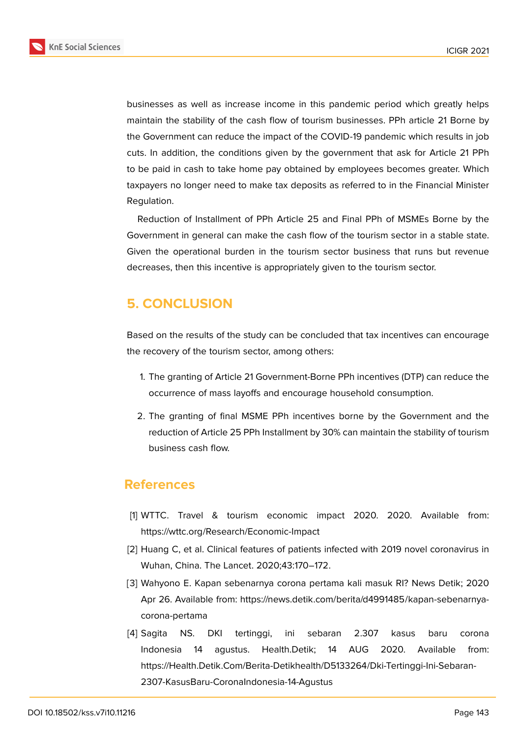

businesses as well as increase income in this pandemic period which greatly helps maintain the stability of the cash flow of tourism businesses. PPh article 21 Borne by the Government can reduce the impact of the COVID-19 pandemic which results in job cuts. In addition, the conditions given by the government that ask for Article 21 PPh to be paid in cash to take home pay obtained by employees becomes greater. Which taxpayers no longer need to make tax deposits as referred to in the Financial Minister Regulation.

Reduction of Installment of PPh Article 25 and Final PPh of MSMEs Borne by the Government in general can make the cash flow of the tourism sector in a stable state. Given the operational burden in the tourism sector business that runs but revenue decreases, then this incentive is appropriately given to the tourism sector.

# **5. CONCLUSION**

Based on the results of the study can be concluded that tax incentives can encourage the recovery of the tourism sector, among others:

- 1. The granting of Article 21 Government-Borne PPh incentives (DTP) can reduce the occurrence of mass layoffs and encourage household consumption.
- 2. The granting of final MSME PPh incentives borne by the Government and the reduction of Article 25 PPh Installment by 30% can maintain the stability of tourism business cash flow.

### **References**

- <span id="page-9-0"></span>[1] WTTC. Travel & tourism economic impact 2020. 2020. Available from: https://wttc.org/Research/Economic-Impact
- <span id="page-9-1"></span>[2] Huang C, et al. Clinical features of patients infected with 2019 novel coronavirus in Wuhan, China. The Lancet. 2020;43:170–172.
- [3] Wahyono E. Kapan sebenarnya corona pertama kali masuk RI? News Detik; 2020 Apr 26. Available from: https://news.detik.com/berita/d4991485/kapan-sebenarnyacorona-pertama
- [4] Sagita NS. DKI tertinggi, ini sebaran 2.307 kasus baru corona Indonesia 14 agustus. Health.Detik; 14 AUG 2020. Available from: https://Health.Detik.Com/Berita-Detikhealth/D5133264/Dki-Tertinggi-Ini-Sebaran-2307-KasusBaru-CoronaIndonesia-14-Agustus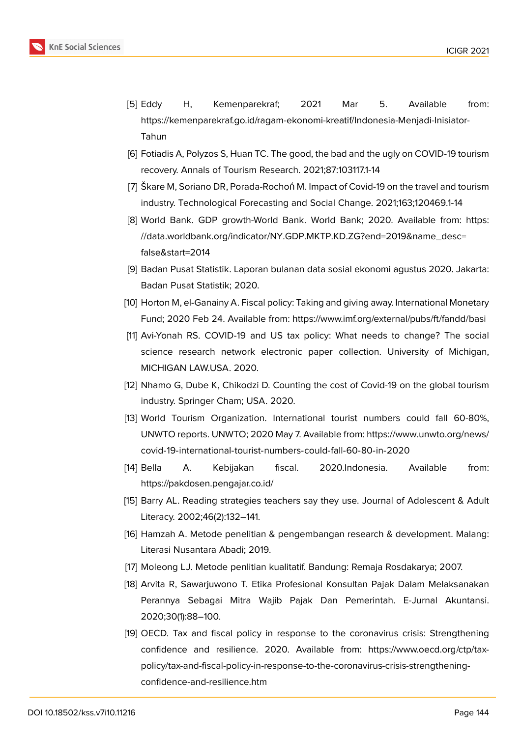- [5] Eddy H, Kemenparekraf; 2021 Mar 5. Available from: https://kemenparekraf.go.id/ragam-ekonomi-kreatif/Indonesia-Menjadi-Inisiator-Tahun
- <span id="page-10-0"></span>[6] Fotiadis A, Polyzos S, Huan TC. The good, the bad and the ugly on COVID-19 tourism recovery. Annals of Tourism Research. 2021;87:103117.1-14
- <span id="page-10-1"></span>[7] Škare M, Soriano DR, Porada-Rochoń M. Impact of Covid-19 on the travel and tourism industry. Technological Forecasting and Social Change. 2021;163;120469.1-14
- <span id="page-10-2"></span>[8] World Bank. GDP growth-World Bank. World Bank; 2020. Available from: https: //data.worldbank.org/indicator/NY.GDP.MKTP.KD.ZG?end=2019&name\_desc= false&start=2014
- <span id="page-10-3"></span>[9] Badan Pusat Statistik. Laporan bulanan data sosial ekonomi agustus 2020. Ja[karta:](https://data.worldbank.org/indicator/NY.GDP.MKTP.KD.ZG?end=2019&name_desc=false&start=2014) [Badan Pusat Statistik; 2020.](https://data.worldbank.org/indicator/NY.GDP.MKTP.KD.ZG?end=2019&name_desc=false&start=2014)
- <span id="page-10-4"></span>[10] [Horton M, el-Gan](https://data.worldbank.org/indicator/NY.GDP.MKTP.KD.ZG?end=2019&name_desc=false&start=2014)ainy A. Fiscal policy: Taking and giving away. International Monetary Fund; 2020 Feb 24. Available from: https://www.imf.org/external/pubs/ft/fandd/basi
- <span id="page-10-5"></span>[11] Avi-Yonah RS. COVID-19 and US tax policy: What needs to change? The social science research network electronic paper collection. University of Michigan, MICHIGAN LAW.USA. 2020.
- <span id="page-10-6"></span>[12] Nhamo G, Dube K, Chikodzi D. Counting the cost of Covid-19 on the global tourism industry. Springer Cham; USA. 2020.
- <span id="page-10-7"></span>[13] World Tourism Organization. International tourist numbers could fall 60-80%, UNWTO reports. UNWTO; 2020 May 7. Available from: https://www.unwto.org/news/ covid-19-international-tourist-numbers-could-fall-60-80-in-2020
- <span id="page-10-8"></span>[14] Bella A. Kebijakan fiscal. 2020.Indonesia. Available from: https://pakdosen.pengajar.co.id/
- <span id="page-10-9"></span>[15] [Barry AL. Reading strategies teachers say they use. Journal of A](https://www.unwto.org/news/covid-19-international-tourist-numbers-could-fall-60-80-in-2020)dolescent & Adult Literacy. 2002;46(2):132–141.
- <span id="page-10-10"></span>[16] Hamzah A. Metode penelitian & pengembangan research & development. Malang: Literasi Nusantara Abadi; 2019.
- <span id="page-10-11"></span>[17] Moleong LJ. Metode penlitian kualitatif. Bandung: Remaja Rosdakarya; 2007.
- [18] Arvita R, Sawarjuwono T. Etika Profesional Konsultan Pajak Dalam Melaksanakan Perannya Sebagai Mitra Wajib Pajak Dan Pemerintah. E-Jurnal Akuntansi. 2020;30(1):88–100.
- <span id="page-10-12"></span>[19] OECD. Tax and fiscal policy in response to the coronavirus crisis: Strengthening confidence and resilience. 2020. Available from: https://www.oecd.org/ctp/taxpolicy/tax-and-fiscal-policy-in-response-to-the-coronavirus-crisis-strengtheningconfidence-and-resilience.htm